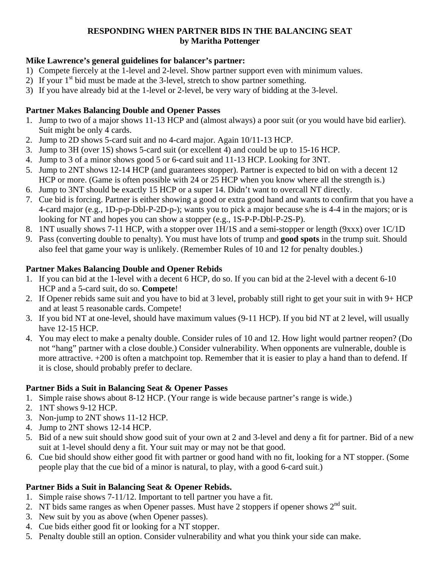### **RESPONDING WHEN PARTNER BIDS IN THE BALANCING SEAT by Maritha Pottenger**

### **Mike Lawrence's general guidelines for balancer's partner:**

- 1) Compete fiercely at the 1-level and 2-level. Show partner support even with minimum values.
- 2) If your  $1<sup>st</sup>$  bid must be made at the 3-level, stretch to show partner something.
- 3) If you have already bid at the 1-level or 2-level, be very wary of bidding at the 3-level.

# **Partner Makes Balancing Double and Opener Passes**

- 1. Jump to two of a major shows 11-13 HCP and (almost always) a poor suit (or you would have bid earlier). Suit might be only 4 cards.
- 2. Jump to 2D shows 5-card suit and no 4-card major. Again 10/11-13 HCP.
- 3. Jump to 3H (over 1S) shows 5-card suit (or excellent 4) and could be up to 15-16 HCP.
- 4. Jump to 3 of a minor shows good 5 or 6-card suit and 11-13 HCP. Looking for 3NT.
- 5. Jump to 2NT shows 12-14 HCP (and guarantees stopper). Partner is expected to bid on with a decent 12 HCP or more. (Game is often possible with 24 or 25 HCP when you know where all the strength is.)
- 6. Jump to 3NT should be exactly 15 HCP or a super 14. Didn't want to overcall NT directly.
- 7. Cue bid is forcing. Partner is either showing a good or extra good hand and wants to confirm that you have a 4-card major (e.g., 1D-p-p-Dbl-P-2D-p-); wants you to pick a major because s/he is 4-4 in the majors; or is looking for NT and hopes you can show a stopper (e.g., 1S-P-P-Dbl-P-2S-P).
- 8. 1NT usually shows 7-11 HCP, with a stopper over 1H/1S and a semi-stopper or length (9xxx) over 1C/1D
- 9. Pass (converting double to penalty). You must have lots of trump and **good spots** in the trump suit. Should also feel that game your way is unlikely. (Remember Rules of 10 and 12 for penalty doubles.)

### **Partner Makes Balancing Double and Opener Rebids**

- 1. If you can bid at the 1-level with a decent 6 HCP, do so. If you can bid at the 2-level with a decent 6-10 HCP and a 5-card suit, do so. **Compete**!
- 2. If Opener rebids same suit and you have to bid at 3 level, probably still right to get your suit in with 9+ HCP and at least 5 reasonable cards. Compete!
- 3. If you bid NT at one-level, should have maximum values (9-11 HCP). If you bid NT at 2 level, will usually have 12-15 HCP.
- 4. You may elect to make a penalty double. Consider rules of 10 and 12. How light would partner reopen? (Do not "hang" partner with a close double.) Consider vulnerability. When opponents are vulnerable, double is more attractive. +200 is often a matchpoint top. Remember that it is easier to play a hand than to defend. If it is close, should probably prefer to declare.

# **Partner Bids a Suit in Balancing Seat & Opener Passes**

- 1. Simple raise shows about 8-12 HCP. (Your range is wide because partner's range is wide.)
- 2. 1NT shows 9-12 HCP.
- 3. Non-jump to 2NT shows 11-12 HCP.
- 4. Jump to 2NT shows 12-14 HCP.
- 5. Bid of a new suit should show good suit of your own at 2 and 3-level and deny a fit for partner. Bid of a new suit at 1-level should deny a fit. Your suit may or may not be that good.
- 6. Cue bid should show either good fit with partner or good hand with no fit, looking for a NT stopper. (Some people play that the cue bid of a minor is natural, to play, with a good 6-card suit.)

# **Partner Bids a Suit in Balancing Seat & Opener Rebids.**

- 1. Simple raise shows 7-11/12. Important to tell partner you have a fit.
- 2. NT bids same ranges as when Opener passes. Must have 2 stoppers if opener shows  $2<sup>nd</sup>$  suit.
- 3. New suit by you as above (when Opener passes).
- 4. Cue bids either good fit or looking for a NT stopper.
- 5. Penalty double still an option. Consider vulnerability and what you think your side can make.